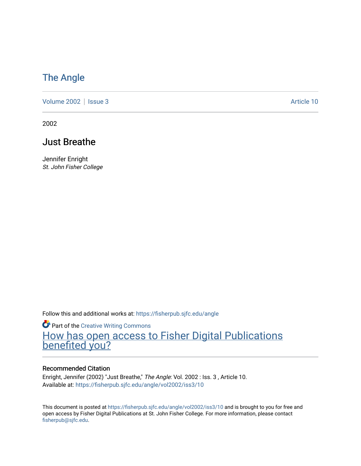### [The Angle](https://fisherpub.sjfc.edu/angle)

[Volume 2002](https://fisherpub.sjfc.edu/angle/vol2002) | [Issue 3](https://fisherpub.sjfc.edu/angle/vol2002/iss3) Article 10

2002

### Just Breathe

Jennifer Enright St. John Fisher College

Follow this and additional works at: [https://fisherpub.sjfc.edu/angle](https://fisherpub.sjfc.edu/angle?utm_source=fisherpub.sjfc.edu%2Fangle%2Fvol2002%2Fiss3%2F10&utm_medium=PDF&utm_campaign=PDFCoverPages)

**Part of the Creative Writing Commons** [How has open access to Fisher Digital Publications](https://docs.google.com/forms/d/14zrnDfH9d1wcdq8oG_-gFabAsxfcH5claltx85ZWyTg/viewform?entry.1394608989=https://fisherpub.sjfc.edu/angle/vol2002/iss3/10%3Chttps://docs.google.com/forms/d/14zrnDfH9d1wcdq8oG_-gFabAsxfcH5claltx85ZWyTg/viewform?entry.1394608989=%7bhttps://fisherpub.sjfc.edu/angle/vol2002/iss3/10%7d) [benefited you?](https://docs.google.com/forms/d/14zrnDfH9d1wcdq8oG_-gFabAsxfcH5claltx85ZWyTg/viewform?entry.1394608989=https://fisherpub.sjfc.edu/angle/vol2002/iss3/10%3Chttps://docs.google.com/forms/d/14zrnDfH9d1wcdq8oG_-gFabAsxfcH5claltx85ZWyTg/viewform?entry.1394608989=%7bhttps://fisherpub.sjfc.edu/angle/vol2002/iss3/10%7d)

#### Recommended Citation

Enright, Jennifer (2002) "Just Breathe," The Angle: Vol. 2002 : Iss. 3, Article 10. Available at: [https://fisherpub.sjfc.edu/angle/vol2002/iss3/10](https://fisherpub.sjfc.edu/angle/vol2002/iss3/10?utm_source=fisherpub.sjfc.edu%2Fangle%2Fvol2002%2Fiss3%2F10&utm_medium=PDF&utm_campaign=PDFCoverPages) 

This document is posted at <https://fisherpub.sjfc.edu/angle/vol2002/iss3/10> and is brought to you for free and open access by Fisher Digital Publications at St. John Fisher College. For more information, please contact [fisherpub@sjfc.edu](mailto:fisherpub@sjfc.edu).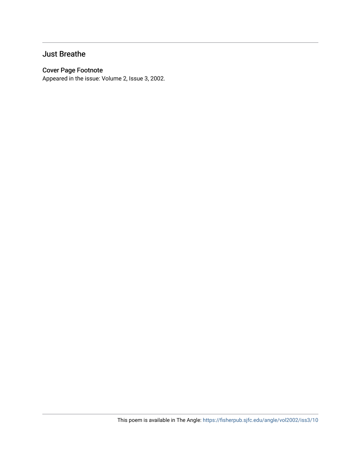#### Just Breathe

#### Cover Page Footnote

Appeared in the issue: Volume 2, Issue 3, 2002.